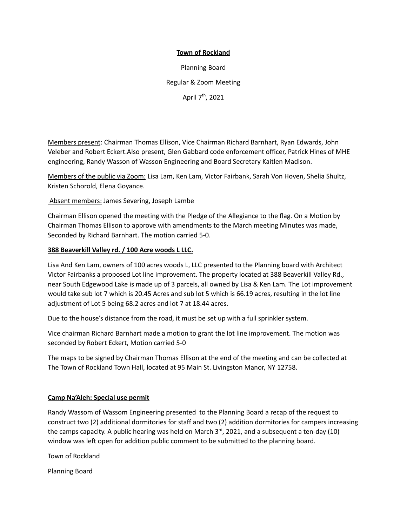## **Town of Rockland**

Planning Board Regular & Zoom Meeting April 7<sup>th</sup>, 2021

Members present: Chairman Thomas Ellison, Vice Chairman Richard Barnhart, Ryan Edwards, John Veleber and Robert Eckert.Also present, Glen Gabbard code enforcement officer, Patrick Hines of MHE engineering, Randy Wasson of Wasson Engineering and Board Secretary Kaitlen Madison.

Members of the public via Zoom: Lisa Lam, Ken Lam, Victor Fairbank, Sarah Von Hoven, Shelia Shultz, Kristen Schorold, Elena Goyance.

Absent members: James Severing, Joseph Lambe

Chairman Ellison opened the meeting with the Pledge of the Allegiance to the flag. On a Motion by Chairman Thomas Ellison to approve with amendments to the March meeting Minutes was made, Seconded by Richard Barnhart. The motion carried 5-0.

## **388 Beaverkill Valley rd. / 100 Acre woods L LLC.**

Lisa And Ken Lam, owners of 100 acres woods L, LLC presented to the Planning board with Architect Victor Fairbanks a proposed Lot line improvement. The property located at 388 Beaverkill Valley Rd., near South Edgewood Lake is made up of 3 parcels, all owned by Lisa & Ken Lam. The Lot improvement would take sub lot 7 which is 20.45 Acres and sub lot 5 which is 66.19 acres, resulting in the lot line adjustment of Lot 5 being 68.2 acres and lot 7 at 18.44 acres.

Due to the house's distance from the road, it must be set up with a full sprinkler system.

Vice chairman Richard Barnhart made a motion to grant the lot line improvement. The motion was seconded by Robert Eckert, Motion carried 5-0

The maps to be signed by Chairman Thomas Ellison at the end of the meeting and can be collected at The Town of Rockland Town Hall, located at 95 Main St. Livingston Manor, NY 12758.

## **Camp Na'Aleh: Special use permit**

Randy Wassom of Wassom Engineering presented to the Planning Board a recap of the request to construct two (2) additional dormitories for staff and two (2) addition dormitories for campers increasing the camps capacity. A public hearing was held on March 3<sup>rd</sup>, 2021, and a subsequent a ten-day (10) window was left open for addition public comment to be submitted to the planning board.

Town of Rockland

Planning Board